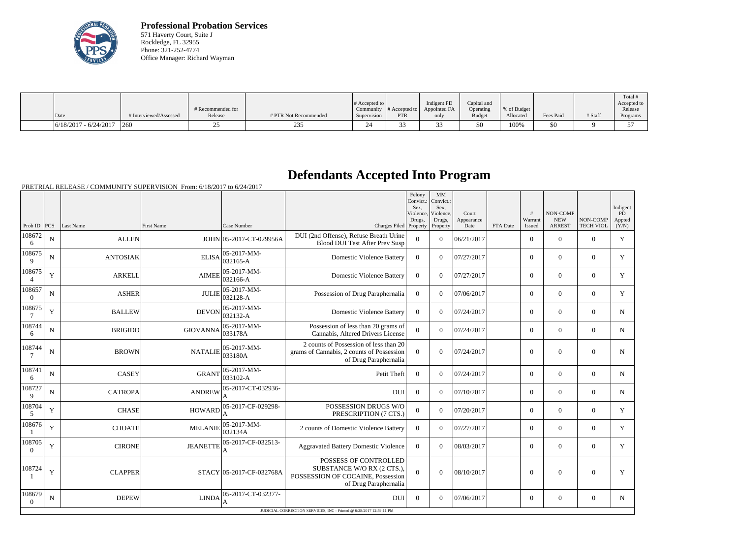

**Professional Probation Services** 571 Haverty Court, Suite J Rockledge, FL 32955 Phone: 321-252-4774 Office Manager: Richard Wayman

|                         | # Interviewed/Assessed | # Recommended for | # PTR Not Recommended | # Accepted to   | Community $\#$ Accepted to<br>PTR | Indigent PD<br>Appointed FA | Capital and<br>Operating<br><b>Budget</b> | % of Budget<br>Allocated | Fees Paid | # Staff | Total<br>Accepted to<br>Release |
|-------------------------|------------------------|-------------------|-----------------------|-----------------|-----------------------------------|-----------------------------|-------------------------------------------|--------------------------|-----------|---------|---------------------------------|
| Date                    |                        | Release           |                       | Supervision     |                                   | only                        |                                           |                          |           |         | Programs                        |
| $6/18/2017 - 6/24/2017$ | 1260                   |                   | 235                   | $\bigcap$<br>24 |                                   |                             | \$0                                       | 100%                     | \$0       |         |                                 |

## **Defendants Accepted Into Program**

|                          |             |                 |                   |                                    |                                                                                                                  | Felony<br>Convict.:<br>Sex.<br>Violence, | MM<br>Convict.:<br>Sex.<br>Violence, | Court              |          | #<br>Warrant     | <b>NON-COMP</b><br><b>NEW</b> | NON-COMP         | Indigent<br>PD. |
|--------------------------|-------------|-----------------|-------------------|------------------------------------|------------------------------------------------------------------------------------------------------------------|------------------------------------------|--------------------------------------|--------------------|----------|------------------|-------------------------------|------------------|-----------------|
| Prob ID $ PCS $          |             | Last Name       | <b>First Name</b> | Case Number                        | Charges Filed Property                                                                                           | Drugs,                                   | Drugs,<br>Property                   | Appearance<br>Date | FTA Date | Issued           | <b>ARREST</b>                 | <b>TECH VIOL</b> | Appted<br>(Y/N) |
| 108672<br>6              | ${\bf N}$   | <b>ALLEN</b>    |                   | JOHN 05-2017-CT-029956A            | DUI (2nd Offense), Refuse Breath Urine<br><b>Blood DUI Test After Prev Susp</b>                                  | $\overline{0}$                           | $\theta$                             | 06/21/2017         |          | $\overline{0}$   | $\mathbf{0}$                  | $\overline{0}$   | $\mathbf Y$     |
| 108675<br>$\mathbf{Q}$   | $\mathbf N$ | <b>ANTOSIAK</b> | <b>ELISA</b>      | 05-2017-MM-<br>$032165 - A$        | <b>Domestic Violence Battery</b>                                                                                 | $\theta$                                 | $\Omega$                             | 07/27/2017         |          | $\Omega$         | $\Omega$                      | $\theta$         | Y               |
| 108675<br>$\overline{4}$ | Y           | <b>ARKELL</b>   | <b>AIMEE</b>      | $05 - 2017 - MM -$<br>$032166 - A$ | <b>Domestic Violence Battery</b>                                                                                 | $\theta$                                 | $\Omega$                             | 07/27/2017         |          | $\theta$         | $\mathbf{0}$                  | $\overline{0}$   | Y               |
| 108657<br>$\Omega$       | $\mathbf N$ | <b>ASHER</b>    | <b>JULIE</b>      | $05-2017-MM$ -<br>032128-A         | Possession of Drug Paraphernalia                                                                                 | $\Omega$                                 | $\Omega$                             | 07/06/2017         |          | $\theta$         | $\theta$                      | $\overline{0}$   | $\mathbf{Y}$    |
| 108675<br>7              | Y           | <b>BALLEW</b>   | <b>DEVON</b>      | 05-2017-MM-<br>032132-A            | <b>Domestic Violence Battery</b>                                                                                 | $\Omega$                                 | $\Omega$                             | 07/24/2017         |          | $\overline{0}$   | $\overline{0}$                | $\overline{0}$   | N               |
| 108744<br>6              | ${\bf N}$   | <b>BRIGIDO</b>  | <b>GIOVANNA</b>   | 05-2017-MM-<br>033178A             | Possession of less than 20 grams of<br>Cannabis, Altered Drivers License                                         | $\overline{0}$                           | $\theta$                             | 07/24/2017         |          | $\overline{0}$   | $\mathbf{0}$                  | $\mathbf{0}$     | $\mathbf N$     |
| 108744<br>7              | ${\bf N}$   | <b>BROWN</b>    | <b>NATALIE</b>    | 05-2017-MM-<br>033180A             | 2 counts of Possession of less than 20<br>grams of Cannabis, 2 counts of Possession<br>of Drug Paraphernalia     | $\theta$                                 | $\Omega$                             | 07/24/2017         |          | $\theta$         | $\theta$                      | $\overline{0}$   | $\mathbf N$     |
| 108741<br>6              | ${\bf N}$   | <b>CASEY</b>    | <b>GRANT</b>      | $05-2017-MM$ -<br>$ 033102 - A$    | Petit Theft                                                                                                      | $\theta$                                 | $\Omega$                             | 07/24/2017         |          | $\theta$         | $\theta$                      | $\theta$         | $\mathbf N$     |
| 108727<br>9              | N           | <b>CATROPA</b>  | <b>ANDREW</b>     | 05-2017-CT-032936-                 | <b>DUI</b>                                                                                                       | $\theta$                                 | $\theta$                             | 07/10/2017         |          | $\boldsymbol{0}$ | $\overline{0}$                | $\overline{0}$   | N               |
| 108704<br>5              | Y           | <b>CHASE</b>    | <b>HOWARD</b>     | 05-2017-CF-029298-                 | POSSESSION DRUGS W/O<br>PRESCRIPTION (7 CTS.)                                                                    | $\mathbf{0}$                             | $\theta$                             | 07/20/2017         |          | $\overline{0}$   | $\overline{0}$                | $\mathbf{0}$     | Y               |
| 108676                   | Y           | <b>CHOATE</b>   | <b>MELANIE</b>    | 05-2017-MM-<br>032134A             | 2 counts of Domestic Violence Battery                                                                            | $\theta$                                 | $\Omega$                             | 07/27/2017         |          | $\overline{0}$   | $\theta$                      | $\overline{0}$   | Y               |
| 108705<br>$\Omega$       | Y           | <b>CIRONE</b>   | <b>JEANETTE</b>   | 05-2017-CF-032513-<br>А            | <b>Aggravated Battery Domestic Violence</b>                                                                      | $\Omega$                                 | $\Omega$                             | 08/03/2017         |          | $\theta$         | $\theta$                      | $\overline{0}$   | Y               |
| 108724                   | Y           | <b>CLAPPER</b>  |                   | STACY 05-2017-CF-032768A           | POSSESS OF CONTROLLED<br>SUBSTANCE W/O RX (2 CTS.)<br>POSSESSION OF COCAINE, Possession<br>of Drug Paraphernalia | $\Omega$                                 | $\Omega$                             | 08/10/2017         |          | $\Omega$         | $\theta$                      | $\mathbf{0}$     | Y               |
| 108679<br>$\Omega$       | N           | <b>DEPEW</b>    | <b>LINDA</b>      | 05-2017-CT-032377-                 | <b>DUI</b>                                                                                                       | $\Omega$                                 | $\Omega$                             | 07/06/2017         |          | $\overline{0}$   | $\overline{0}$                | $\mathbf{0}$     | N               |
|                          |             |                 |                   |                                    | JUDICIAL CORRECTION SERVICES, INC - Printed @ 6/28/2017 12:59:11 PM                                              |                                          |                                      |                    |          |                  |                               |                  |                 |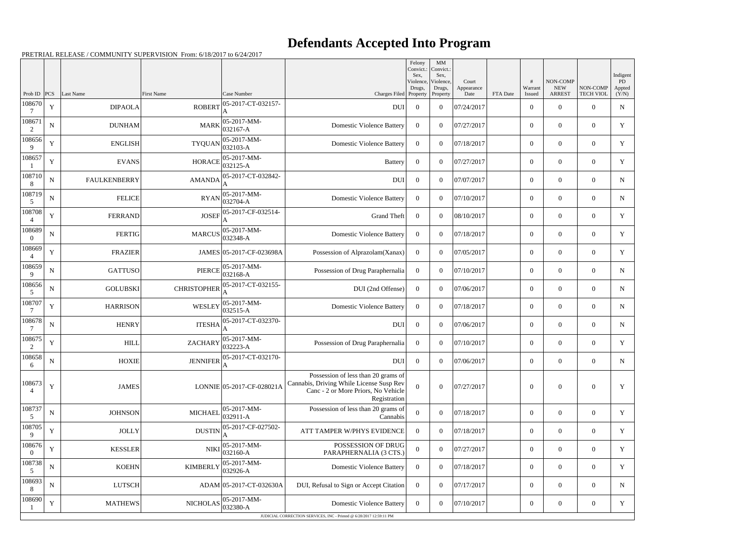## **Defendants Accepted Into Program**

|                                    |             |                     |                                     |                              |                                                                                                                                        | Felony<br>Convict.:<br>Sex,<br>Violence, | MM<br>Convict.:<br>Sex,<br>Violence, | Court              |          | #                 | NON-COMP                    |                              | Indigent<br>PD  |
|------------------------------------|-------------|---------------------|-------------------------------------|------------------------------|----------------------------------------------------------------------------------------------------------------------------------------|------------------------------------------|--------------------------------------|--------------------|----------|-------------------|-----------------------------|------------------------------|-----------------|
| Prob ID                            | PCS         | Last Name           | <b>First Name</b>                   | Case Number                  | Charges Filed Property                                                                                                                 | Drugs,                                   | Drugs,<br>Property                   | Appearance<br>Date | FTA Date | Warrant<br>Issued | <b>NEW</b><br><b>ARREST</b> | NON-COMP<br><b>TECH VIOL</b> | Appted<br>(Y/N) |
| 108670                             | Y           | <b>DIPAOLA</b>      | <b>ROBERT</b>                       | 05-2017-CT-032157-<br>А      | <b>DUI</b>                                                                                                                             | $\overline{0}$                           | $\overline{0}$                       | 07/24/2017         |          | $\overline{0}$    | $\overline{0}$              | $\Omega$                     | $\mathbf N$     |
| 108671<br>2                        | $\mathbf N$ | <b>DUNHAM</b>       | <b>MARK</b>                         | 05-2017-MM-<br>$ 032167 - A$ | <b>Domestic Violence Battery</b>                                                                                                       | $\Omega$                                 | $\theta$                             | 07/27/2017         |          | $\overline{0}$    | $\overline{0}$              | $\overline{0}$               | Y               |
| 108656<br>9                        | Y           | <b>ENGLISH</b>      | <b>TYQUAN</b>                       | 05-2017-MM-<br>$ 032103-A$   | <b>Domestic Violence Battery</b>                                                                                                       | $\overline{0}$                           | $\overline{0}$                       | 07/18/2017         |          | $\overline{0}$    | $\overline{0}$              | $\Omega$                     | Y               |
| 108657                             | $\mathbf Y$ | <b>EVANS</b>        | <b>HORACE</b>                       | 05-2017-MM-<br>$ 032125-A$   | <b>Battery</b>                                                                                                                         | $\overline{0}$                           | $\theta$                             | 07/27/2017         |          | $\overline{0}$    | $\overline{0}$              | $\overline{0}$               | Y               |
| 108710<br>8                        | ${\bf N}$   | <b>FAULKENBERRY</b> | <b>AMANDA</b>                       | 05-2017-CT-032842-           | <b>DUI</b>                                                                                                                             | $\overline{0}$                           | $\overline{0}$                       | 07/07/2017         |          | $\overline{0}$    | $\overline{0}$              | $\Omega$                     | N               |
| 108719<br>5                        | $\mathbf N$ | <b>FELICE</b>       | <b>RYAN</b>                         | 05-2017-MM-<br>032704-A      | <b>Domestic Violence Battery</b>                                                                                                       | $\Omega$                                 | $\theta$                             | 07/10/2017         |          | $\overline{0}$    | $\overline{0}$              | $\Omega$                     | $\mathbf N$     |
| 108708<br>$\boldsymbol{\varDelta}$ | Y           | <b>FERRAND</b>      | <b>JOSEF</b>                        | 05-2017-CF-032514-<br>А      | <b>Grand Theft</b>                                                                                                                     | $\overline{0}$                           | $\overline{0}$                       | 08/10/2017         |          | $\overline{0}$    | $\overline{0}$              | $\theta$                     | Y               |
| 108689<br>$\Omega$                 | $\mathbf N$ | <b>FERTIG</b>       | <b>MARCUS</b>                       | 05-2017-MM-<br>$ 032348-A$   | <b>Domestic Violence Battery</b>                                                                                                       | $\theta$                                 | $\theta$                             | 07/18/2017         |          | $\overline{0}$    | $\overline{0}$              | $\overline{0}$               | Y               |
| 108669<br>$\overline{4}$           | Y           | <b>FRAZIER</b>      |                                     | JAMES 05-2017-CF-023698A     | Possession of Alprazolam(Xanax)                                                                                                        | $\Omega$                                 | $\Omega$                             | 07/05/2017         |          | $\overline{0}$    | $\overline{0}$              | $\Omega$                     | Y               |
| 108659<br>9                        | $\mathbf N$ | GATTUSO             | <b>PIERCE</b>                       | 05-2017-MM-<br>$ 032168-A$   | Possession of Drug Paraphernalia                                                                                                       | $\overline{0}$                           | $\theta$                             | 07/10/2017         |          | $\overline{0}$    | $\overline{0}$              | $\overline{0}$               | $\mathbf N$     |
| 108656<br>5                        | N           | <b>GOLUBSKI</b>     | <b>CHRISTOPHER</b>                  | 05-2017-CT-032155-           | DUI (2nd Offense)                                                                                                                      | $\overline{0}$                           | $\overline{0}$                       | 07/06/2017         |          | $\overline{0}$    | $\overline{0}$              | $\theta$                     | N               |
| 108707                             | Y           | <b>HARRISON</b>     | <b>WESLEY</b>                       | 05-2017-MM-<br>032515-A      | <b>Domestic Violence Battery</b>                                                                                                       | $\Omega$                                 | $\theta$                             | 07/18/2017         |          | $\overline{0}$    | $\overline{0}$              | $\overline{0}$               | $\mathbf N$     |
| 108678                             | ${\bf N}$   | <b>HENRY</b>        | <b>ITESHA</b>                       | 05-2017-CT-032370-           | <b>DUI</b>                                                                                                                             | $\overline{0}$                           | $\overline{0}$                       | 07/06/2017         |          | $\overline{0}$    | $\overline{0}$              | $\Omega$                     | N               |
| 108675<br>2                        | Y           | <b>HILL</b>         | <b>ZACHARY</b>                      | 05-2017-MM-<br>032223-A      | Possession of Drug Paraphernalia                                                                                                       | $\Omega$                                 | $\theta$                             | 07/10/2017         |          | $\overline{0}$    | $\overline{0}$              | $\overline{0}$               | $\mathbf Y$     |
| 108658<br>6                        | N           | <b>HOXIE</b>        | JENNIFER $\vert_{\text{A}}^{\circ}$ | 05-2017-CT-032170-           | DUI                                                                                                                                    | $\overline{0}$                           | $\boldsymbol{0}$                     | 07/06/2017         |          | $\bf{0}$          | $\bf{0}$                    | $\mathbf{0}$                 | N               |
| 108673<br>4                        | $\mathbf Y$ | <b>JAMES</b>        |                                     | LONNIE 05-2017-CF-028021A    | Possession of less than 20 grams of<br>Cannabis, Driving While License Susp Rev<br>Canc - 2 or More Priors, No Vehicle<br>Registration | $\theta$                                 | $\boldsymbol{0}$                     | 07/27/2017         |          | $\boldsymbol{0}$  | $\boldsymbol{0}$            | $\boldsymbol{0}$             | Y               |
| 108737<br>5                        | ${\bf N}$   | <b>JOHNSON</b>      | <b>MICHAEL</b>                      | 05-2017-MM-<br>032911-A      | Possession of less than 20 grams of<br>Cannabis                                                                                        | $\overline{0}$                           | $\boldsymbol{0}$                     | 07/18/2017         |          | $\boldsymbol{0}$  | $\overline{0}$              | $\overline{0}$               | Y               |
| 108705<br>9                        | $\mathbf Y$ | <b>JOLLY</b>        | <b>DUSTIN</b>                       | 05-2017-CF-027502-           | <b>ATT TAMPER W/PHYS EVIDENCE</b>                                                                                                      | $\Omega$                                 | $\overline{0}$                       | 07/18/2017         |          | $\overline{0}$    | $\overline{0}$              | $\overline{0}$               | Y               |
| 108676<br>$\theta$                 | $\mathbf Y$ | <b>KESSLER</b>      | <b>NIKI</b>                         | 05-2017-MM-<br>032160-A      | POSSESSION OF DRUG<br>PARAPHERNALIA (3 CTS.)                                                                                           | $\theta$                                 | $\boldsymbol{0}$                     | 07/27/2017         |          | $\overline{0}$    | $\overline{0}$              | $\overline{0}$               | Y               |
| 108738<br>5                        | $\mathbf N$ | <b>KOEHN</b>        | <b>KIMBERLY</b>                     | 05-2017-MM-<br>032926-A      | <b>Domestic Violence Battery</b>                                                                                                       | $\overline{0}$                           | $\boldsymbol{0}$                     | 07/18/2017         |          | $\overline{0}$    | $\boldsymbol{0}$            | $\overline{0}$               | Y               |
| 108693<br>8                        | ${\bf N}$   | <b>LUTSCH</b>       |                                     | ADAM 05-2017-CT-032630A      | DUI, Refusal to Sign or Accept Citation                                                                                                | $\overline{0}$                           | $\overline{0}$                       | 07/17/2017         |          | $\boldsymbol{0}$  | $\overline{0}$              | $\overline{0}$               | N               |
| 108690                             | $\mathbf Y$ | <b>MATHEWS</b>      | $NICHOLAS$ $ 032380-A$              | $ 05-2017-MM-$               | <b>Domestic Violence Battery</b>                                                                                                       | $\overline{0}$                           | $\overline{0}$                       | 07/10/2017         |          | $\boldsymbol{0}$  | $\boldsymbol{0}$            | $\boldsymbol{0}$             | Y               |
|                                    |             |                     |                                     |                              | JUDICIAL CORRECTION SERVICES, INC - Printed @ 6/28/2017 12:59:11 PM                                                                    |                                          |                                      |                    |          |                   |                             |                              |                 |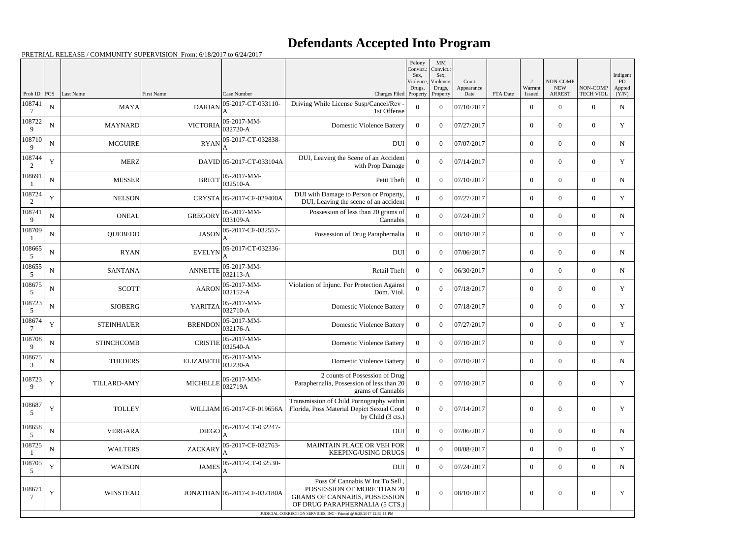## **Defendants Accepted Into Program**

|                       |             |                    |                                      |                             |                                                                                                                                        | Felony<br>Convict.:<br>Sex. | MM<br>Convict.:<br>Sex,         |                             |          |                   |                                         |                              | Indigent                     |
|-----------------------|-------------|--------------------|--------------------------------------|-----------------------------|----------------------------------------------------------------------------------------------------------------------------------------|-----------------------------|---------------------------------|-----------------------------|----------|-------------------|-----------------------------------------|------------------------------|------------------------------|
| Prob ID               | PCS         | Last Name          | <b>First Name</b>                    | Case Number                 | Charges Filed Property                                                                                                                 | Violence,<br>Drugs,         | Violence,<br>Drugs,<br>Property | Court<br>Appearance<br>Date | FTA Date | Warrant<br>Issued | NON-COMP<br><b>NEW</b><br><b>ARREST</b> | NON-COMP<br><b>TECH VIOL</b> | <b>PD</b><br>Appted<br>(Y/N) |
| 108741<br>7           | ${\bf N}$   | <b>MAYA</b>        | <b>DARIAN</b>                        | 05-2017-CT-033110-          | Driving While License Susp/Cancel/Rev -<br>1st Offense                                                                                 | $\theta$                    | $\theta$                        | 07/10/2017                  |          | $\overline{0}$    | $\Omega$                                | $\Omega$                     | $\mathbf N$                  |
| 108722<br>9           | ${\bf N}$   | <b>MAYNARD</b>     | <b>VICTORIA</b>                      | 05-2017-MM-<br>032720-A     | <b>Domestic Violence Battery</b>                                                                                                       | $\theta$                    | $\theta$                        | 07/27/2017                  |          | $\mathbf{0}$      | $\overline{0}$                          | $\theta$                     | Y                            |
| 108710<br>9           | $\mathbf N$ | <b>MCGUIRE</b>     | <b>RYAN</b>                          | 05-2017-CT-032838-          | <b>DUI</b>                                                                                                                             | $\overline{0}$              | $\theta$                        | 07/07/2017                  |          | $\overline{0}$    | $\Omega$                                | $\Omega$                     | N                            |
| 108744<br>2           | Y           | <b>MERZ</b>        |                                      | DAVID 05-2017-CT-033104A    | DUI, Leaving the Scene of an Accident<br>with Prop Damage                                                                              | $\Omega$                    | $\theta$                        | 07/14/2017                  |          | $\overline{0}$    | $\overline{0}$                          | $\theta$                     | Y                            |
| 108691                | ${\bf N}$   | <b>MESSER</b>      | <b>BRETT</b>                         | 05-2017-MM-<br>032510-A     | Petit Theft                                                                                                                            | $\overline{0}$              | $\Omega$                        | 07/10/2017                  |          | $\mathbf{0}$      | $\Omega$                                | $\Omega$                     | $\mathbf N$                  |
| 108724<br>2           | Y           | <b>NELSON</b>      |                                      | CRYSTA 05-2017-CF-029400A   | DUI with Damage to Person or Property,<br>DUI, Leaving the scene of an accident                                                        | $\Omega$                    | $\theta$                        | 07/27/2017                  |          | $\mathbf{0}$      | $\overline{0}$                          | $\Omega$                     | Y                            |
| 108741<br>9           | ${\bf N}$   | <b>ONEAL</b>       | <b>GREGORY</b>                       | 05-2017-MM-<br>033109-A     | Possession of less than 20 grams of<br>Cannabis                                                                                        | $\theta$                    | $\theta$                        | 07/24/2017                  |          | $\overline{0}$    | $\Omega$                                | $\Omega$                     | N                            |
| 108709                | ${\bf N}$   | QUEBEDO            | <b>JASON</b>                         | 05-2017-CF-032552-          | Possession of Drug Paraphernalia                                                                                                       | $\Omega$                    | $\theta$                        | 08/10/2017                  |          | $\overline{0}$    | $\overline{0}$                          | $\theta$                     | Y                            |
| 108665<br>5           | ${\bf N}$   | <b>RYAN</b>        | <b>EVELYN</b>                        | 05-2017-CT-032336-          | <b>DUI</b>                                                                                                                             | $\overline{0}$              | $\theta$                        | 07/06/2017                  |          | $\overline{0}$    | $\Omega$                                | $\Omega$                     | $\mathbf N$                  |
| 108655<br>5           | ${\bf N}$   | <b>SANTANA</b>     | <b>ANNETTE</b>                       | 05-2017-MM-<br>032113-A     | Retail Theft                                                                                                                           | $\theta$                    | $\Omega$                        | 06/30/2017                  |          | $\mathbf{0}$      | $\theta$                                | $\Omega$                     | $\mathbf N$                  |
| 108675<br>5           | ${\bf N}$   | <b>SCOTT</b>       | <b>AARON</b>                         | 05-2017-MM-<br>032152-A     | Violation of Injunc. For Protection Against<br>Dom. Viol.                                                                              | $\theta$                    | $\theta$                        | 07/18/2017                  |          | $\overline{0}$    | $\Omega$                                | $\Omega$                     | Y                            |
| 108723<br>5           | ${\bf N}$   | <b>SJOBERG</b>     | YARITZA                              | 05-2017-MM-<br>032710-A     | <b>Domestic Violence Battery</b>                                                                                                       | $\theta$                    | $\theta$                        | 07/18/2017                  |          | $\overline{0}$    | $\overline{0}$                          | $\overline{0}$               | Y                            |
| 108674<br>7           | Y           | <b>STEINHAUER</b>  | <b>BRENDON</b>                       | 05-2017-MM-<br>032176-A     | <b>Domestic Violence Battery</b>                                                                                                       | $\overline{0}$              | $\theta$                        | 07/27/2017                  |          | $\overline{0}$    | $\Omega$                                | $\Omega$                     | Y                            |
| 108708<br>$\mathbf Q$ | $\mathbf N$ | <b>STINCHCOMB</b>  | <b>CRISTIE</b>                       | 05-2017-MM-<br>032540-A     | <b>Domestic Violence Battery</b>                                                                                                       | $\theta$                    | $\Omega$                        | 07/10/2017                  |          | $\overline{0}$    | $\overline{0}$                          | $\theta$                     | Y                            |
| 108675<br>3           | N           | <b>THEDERS</b>     | ELIZABETH $\big _{032230-A}^{\circ}$ | 05-2017-MM-                 | <b>Domestic Violence Battery</b>                                                                                                       | $\bf{0}$                    | $\overline{0}$                  | 07/10/2017                  |          | $\theta$          | $\overline{0}$                          | $\overline{0}$               | $\mathbf N$                  |
| 108723<br>9           | Y           | <b>TILLARD-AMY</b> | <b>MICHELLE</b>                      | 05-2017-MM-<br>032719A      | 2 counts of Possession of Drug<br>Paraphernalia, Possession of less than 20<br>grams of Cannabis                                       | $\overline{0}$              | $\overline{0}$                  | 07/10/2017                  |          | $\boldsymbol{0}$  | $\boldsymbol{0}$                        | $\overline{0}$               | Y                            |
| 108687<br>-5          | Y           | <b>TOLLEY</b>      |                                      | WILLIAM 05-2017-CF-019656A  | Transmission of Child Pornography within<br>Florida, Poss Material Depict Sexual Cond<br>by Child (3 cts.)                             | $\overline{0}$              | $\overline{0}$                  | 07/14/2017                  |          | $\boldsymbol{0}$  | $\boldsymbol{0}$                        | $\mathbf{0}$                 | Y                            |
| 108658<br>5           | ${\bf N}$   | <b>VERGARA</b>     | DIEGO                                | 05-2017-CT-032247-          | DUI                                                                                                                                    | $\overline{0}$              | $\overline{0}$                  | 07/06/2017                  |          | $\overline{0}$    | $\boldsymbol{0}$                        | $\overline{0}$               | $\mathbf N$                  |
| 108725                | ${\bf N}$   | <b>WALTERS</b>     | <b>ZACKARY</b>                       | 05-2017-CF-032763-          | MAINTAIN PLACE OR VEH FOR<br><b>KEEPING/USING DRUGS</b>                                                                                | $\overline{0}$              | $\overline{0}$                  | 08/08/2017                  |          | $\overline{0}$    | $\overline{0}$                          | $\overline{0}$               | Y                            |
| 108705<br>5           | $\mathbf Y$ | <b>WATSON</b>      | <b>JAMES</b>                         | 05-2017-CT-032530-          | DUI                                                                                                                                    | $\overline{0}$              | $\overline{0}$                  | 07/24/2017                  |          | $\overline{0}$    | $\boldsymbol{0}$                        | $\overline{0}$               | N                            |
| 108671                | $\mathbf Y$ | <b>WINSTEAD</b>    |                                      | JONATHAN 05-2017-CF-032180A | Poss Of Cannabis W Int To Sell<br>POSSESSION OF MORE THAN 20<br><b>GRAMS OF CANNABIS, POSSESSION</b><br>OF DRUG PARAPHERNALIA (5 CTS.) | $\overline{0}$              | $\boldsymbol{0}$                | 08/10/2017                  |          | $\boldsymbol{0}$  | $\boldsymbol{0}$                        | $\mathbf{0}$                 | Y                            |
|                       |             |                    |                                      |                             | JUDICIAL CORRECTION SERVICES, INC - Printed @ 6/28/2017 12:59:11 PM                                                                    |                             |                                 |                             |          |                   |                                         |                              |                              |